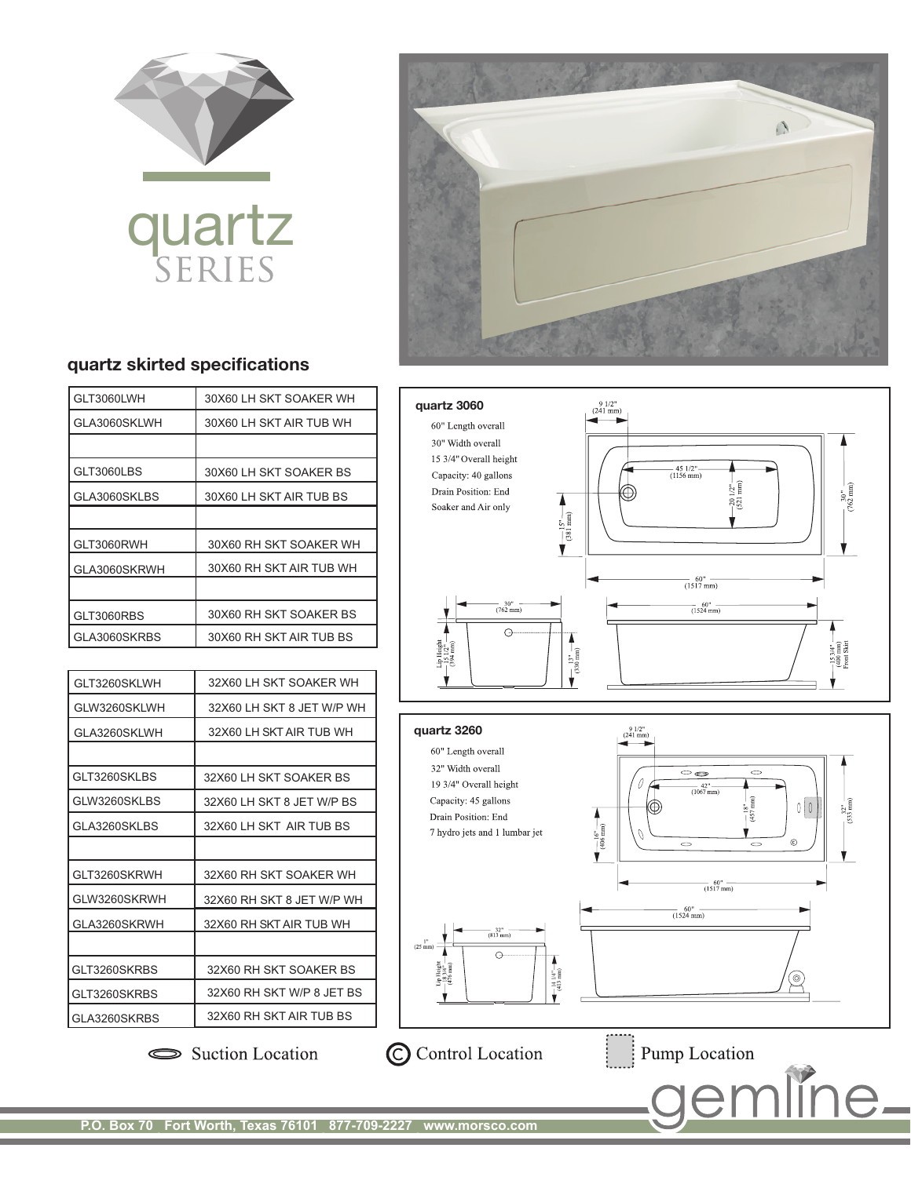

## quartz



## quartz skirted specifications

| GLT3060LWH   | 30X60 LH SKT SOAKER WH  |
|--------------|-------------------------|
| GLA3060SKLWH | 30X60 LH SKT AIR TUB WH |
|              |                         |
| GLT3060LBS   | 30X60 LH SKT SOAKER BS  |
| GLA3060SKLBS | 30X60 LH SKT AIR TUB BS |
|              |                         |
| GLT3060RWH   | 30X60 RH SKT SOAKER WH  |
| GLA3060SKRWH | 30X60 RH SKT AIR TUB WH |
|              |                         |
| GLT3060RBS   | 30X60 RH SKT SOAKER BS  |
| GLA3060SKRBS | 30X60 RH SKT AIR TUB BS |

| GLT3260SKLWH   | 32X60 LH SKT SOAKER WH    |
|----------------|---------------------------|
| GLW3260SKLWH   | 32X60 LH SKT 8 JET W/P WH |
| GLA3260SKLWH   | 32X60 LH SKT AIR TUB WH   |
|                |                           |
| GLT3260SKLBS   | 32X60 LH SKT SOAKER BS    |
| GLW3260SKLBS   | 32X60 LH SKT 8 JET W/P BS |
| GLA3260SKLBS   | 32X60 LH SKT AIR TUB BS   |
|                |                           |
| GLT3260SKRWH   | 32X60 RH SKT SOAKER WH    |
| GLW3260SKRWH   | 32X60 RH SKT 8 JET W/P WH |
| GLA3260SKRWH   | 32X60 RH SKT AIR TUB WH   |
|                |                           |
| GLT3260SKRBS   | 32X60 RH SKT SOAKER BS    |
| GLT3260SKRBS   | 32X60 RH SKT W/P 8 JET BS |
| I GLA3260SKRBS | 32X60 RH SKT AIR TUB BS   |

 $\frac{9 \frac{1}{2}}{(241 \text{ mm})}$ quartz 3060 60" Length overall 30" Width overall 15 3/4" Overall height  $-45$  1/2" $-$ <br>(1156 mm) Capacity: 40 gallons  $\frac{1}{2}$  $\binom{2^n-1}{n}$  $\frac{30^{n}}{(762 \text{ mm})}$ Drain Position: End  $\bigcirc \hspace{-1.5mm} \bigcirc$  $\begin{array}{c}\n\bullet \\
\hline\n(381 \text{ mm})\n\end{array}$  $-20$ Soaker and Air only  $\frac{60''}{(1517 \text{ mm})}$  $-30^{\circ}$  -<br>(762 mm)  $\frac{60^{n}}{(1524 \text{ mm})}$  $\odot$  $\begin{array}{c}\n\bullet \\
\bullet \\
\bullet \\
\bullet\n\end{array}$  $\begin{array}{c} \text{Lip Height} \\ -15\,1/2\,^n \\ \text{(394 mm)} \end{array}$  $-15.3/4"$  -<br>(400 mm)<br>Front Skirt Ý.  $\frac{9 \frac{1}{2}}{(241 \text{ mm})}$ quartz 3260 60" Length overall 32" Width overall - -19 3/4" Overall height  $\frac{42^{n}}{(1067 \text{ mm})}$ Capacity: 45 gallons



Drain Position: End

7 hydro jets and 1 lumbar jet



Suction Location

C Control Location

Pump Location

**P.O. Box 70 . Fort Worth, Texas 76101 . 877-709-2227 . www.morsco.com**